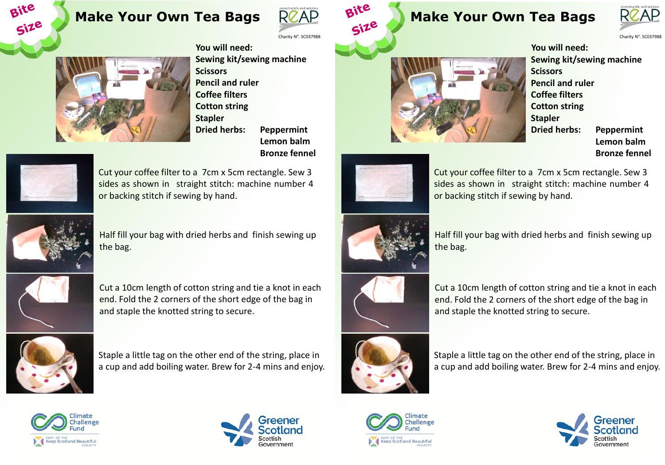## **Make Your Own Tea Bags**



Charity Nº. SC037988



**You will need: Sewing kit/sewing machine Scissors Pencil and ruler Coffee filters Cotton string Stapler Dried herbs: Peppermint Lemon balm Bronze fennel** 



Bite

Size

Cut your coffee filter to a 7cm x 5cm rectangle. Sew 3 sides as shown in straight stitch: machine number 4 or backing stitch if sewing by hand.



Half fill your bag with dried herbs and finish sewing up the bag.



Cut a 10cm length of cotton string and tie a knot in each end. Fold the 2 corners of the short edge of the bag in and staple the knotted string to secure.



Staple a little tag on the other end of the string, place in a cup and add boiling water. Brew for 2-4 mins and enjoy.



**Make Your Own Tea Bags** 

**You will need: Sewing kit/sewing machine Scissors Pencil and ruler Coffee filters Cotton string Stapler Dried herbs: Peppermint Lemon balm Bronze fennel** 

**RCAP** 



Bite

Cut your coffee filter to a 7cm x 5cm rectangle. Sew 3 sides as shown in straight stitch: machine number 4 or backing stitch if sewing by hand.



Half fill your bag with dried herbs and finish sewing up the bag.



Cut a 10cm length of cotton string and tie a knot in each end. Fold the 2 corners of the short edge of the bag in and staple the knotted string to secure.



Staple a little tag on the other end of the string, place in a cup and add boiling water. Brew for 2-4 mins and enjoy.